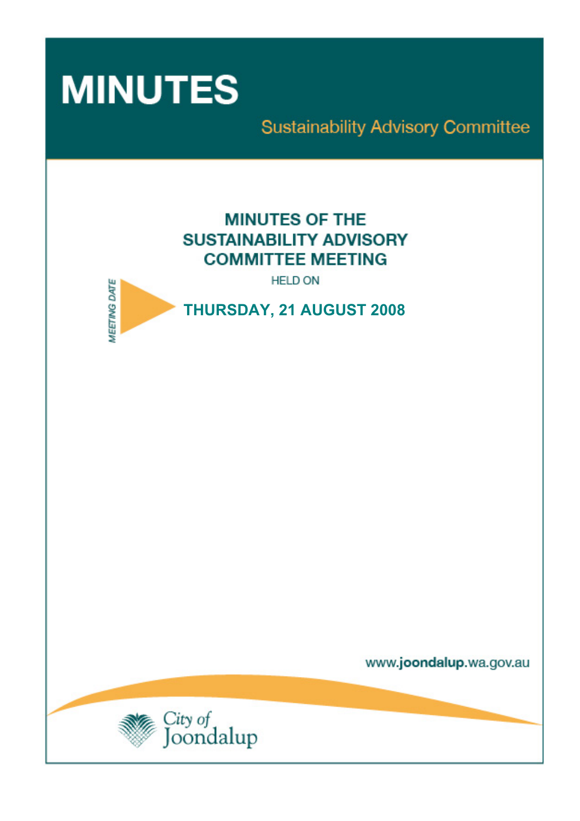

**Sustainability Advisory Committee** 

# **MINUTES OF THE SUSTAINABILITY ADVISORY COMMITTEE MEETING**

**HELD ON** 



THURSDAY, 21 AUGUST 2008

www.joondalup.wa.gov.au

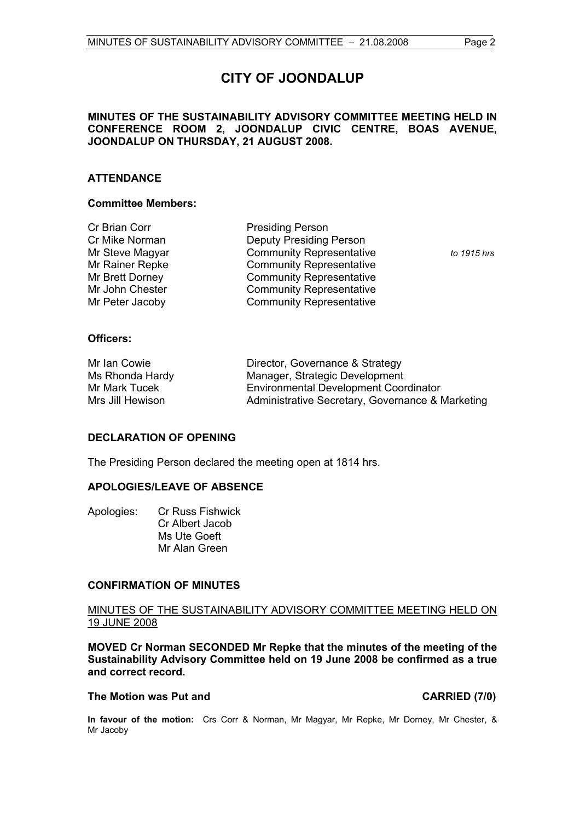## **CITY OF JOONDALUP**

### **MINUTES OF THE SUSTAINABILITY ADVISORY COMMITTEE MEETING HELD IN CONFERENCE ROOM 2, JOONDALUP CIVIC CENTRE, BOAS AVENUE, JOONDALUP ON THURSDAY, 21 AUGUST 2008.**

#### **ATTENDANCE**

#### **Committee Members:**

| Cr Brian Corr   | <b>Presiding Person</b>         |             |
|-----------------|---------------------------------|-------------|
| Cr Mike Norman  | <b>Deputy Presiding Person</b>  |             |
| Mr Steve Magyar | <b>Community Representative</b> | to 1915 hrs |
| Mr Rainer Repke | <b>Community Representative</b> |             |
| Mr Brett Dorney | <b>Community Representative</b> |             |
| Mr John Chester | <b>Community Representative</b> |             |
| Mr Peter Jacoby | <b>Community Representative</b> |             |
|                 |                                 |             |

#### **Officers:**

| Mr Ian Cowie     | Director, Governance & Strategy                  |
|------------------|--------------------------------------------------|
| Ms Rhonda Hardy  | Manager, Strategic Development                   |
| Mr Mark Tucek    | <b>Environmental Development Coordinator</b>     |
| Mrs Jill Hewison | Administrative Secretary, Governance & Marketing |

#### **DECLARATION OF OPENING**

The Presiding Person declared the meeting open at 1814 hrs.

### **APOLOGIES/LEAVE OF ABSENCE**

| Apologies: | <b>Cr Russ Fishwick</b> |
|------------|-------------------------|
|            | Cr Albert Jacob         |
|            | Ms Ute Goeft            |
|            | Mr Alan Green           |
|            |                         |

#### **CONFIRMATION OF MINUTES**

#### MINUTES OF THE SUSTAINABILITY ADVISORY COMMITTEE MEETING HELD ON 19 JUNE 2008

**MOVED Cr Norman SECONDED Mr Repke that the minutes of the meeting of the Sustainability Advisory Committee held on 19 June 2008 be confirmed as a true and correct record.** 

#### The Motion was Put and **CARRIED** (7/0)

**In favour of the motion:** Crs Corr & Norman, Mr Magyar, Mr Repke, Mr Dorney, Mr Chester, & Mr Jacoby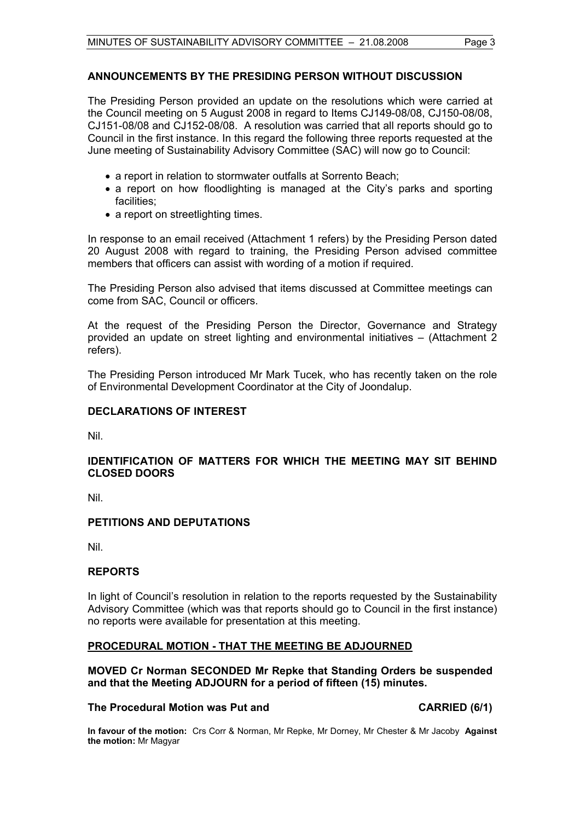### **ANNOUNCEMENTS BY THE PRESIDING PERSON WITHOUT DISCUSSION**

The Presiding Person provided an update on the resolutions which were carried at the Council meeting on 5 August 2008 in regard to Items CJ149-08/08, CJ150-08/08, CJ151-08/08 and CJ152-08/08. A resolution was carried that all reports should go to Council in the first instance. In this regard the following three reports requested at the June meeting of Sustainability Advisory Committee (SAC) will now go to Council:

- a report in relation to stormwater outfalls at Sorrento Beach;
- a report on how floodlighting is managed at the City's parks and sporting facilities;
- a report on streetlighting times.

In response to an email received (Attachment 1 refers) by the Presiding Person dated 20 August 2008 with regard to training, the Presiding Person advised committee members that officers can assist with wording of a motion if required.

The Presiding Person also advised that items discussed at Committee meetings can come from SAC, Council or officers.

At the request of the Presiding Person the Director, Governance and Strategy provided an update on street lighting and environmental initiatives – (Attachment 2 refers).

The Presiding Person introduced Mr Mark Tucek, who has recently taken on the role of Environmental Development Coordinator at the City of Joondalup.

#### **DECLARATIONS OF INTEREST**

Nil.

#### **IDENTIFICATION OF MATTERS FOR WHICH THE MEETING MAY SIT BEHIND CLOSED DOORS**

Nil.

### **PETITIONS AND DEPUTATIONS**

Nil.

### **REPORTS**

In light of Council's resolution in relation to the reports requested by the Sustainability Advisory Committee (which was that reports should go to Council in the first instance) no reports were available for presentation at this meeting.

### **PROCEDURAL MOTION - THAT THE MEETING BE ADJOURNED**

#### **MOVED Cr Norman SECONDED Mr Repke that Standing Orders be suspended and that the Meeting ADJOURN for a period of fifteen (15) minutes.**

#### **The Procedural Motion was Put and CARRIED (6/1)**

**In favour of the motion:** Crs Corr & Norman, Mr Repke, Mr Dorney, Mr Chester & Mr Jacoby **Against the motion:** Mr Magyar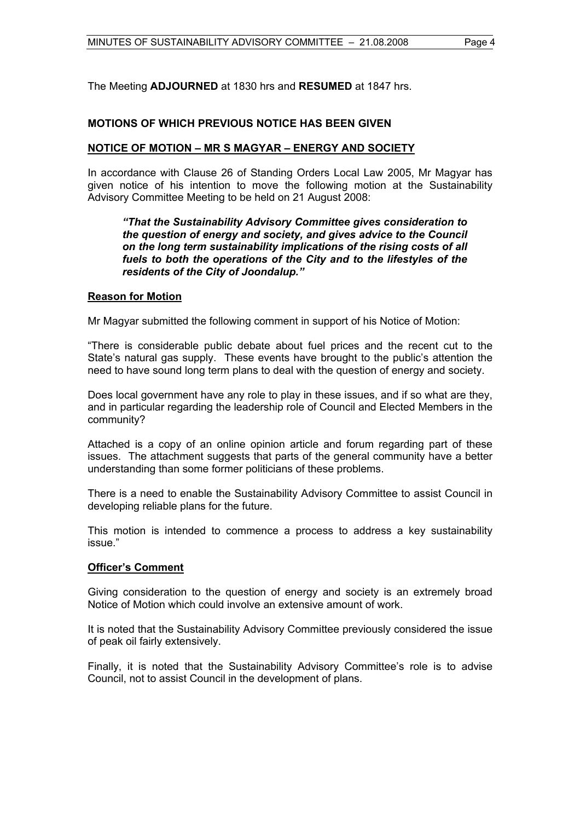The Meeting **ADJOURNED** at 1830 hrs and **RESUMED** at 1847 hrs.

### **MOTIONS OF WHICH PREVIOUS NOTICE HAS BEEN GIVEN**

#### **NOTICE OF MOTION – MR S MAGYAR – ENERGY AND SOCIETY**

In accordance with Clause 26 of Standing Orders Local Law 2005, Mr Magyar has given notice of his intention to move the following motion at the Sustainability Advisory Committee Meeting to be held on 21 August 2008:

#### *"That the Sustainability Advisory Committee gives consideration to the question of energy and society, and gives advice to the Council on the long term sustainability implications of the rising costs of all fuels to both the operations of the City and to the lifestyles of the residents of the City of Joondalup."*

#### **Reason for Motion**

Mr Magyar submitted the following comment in support of his Notice of Motion:

"There is considerable public debate about fuel prices and the recent cut to the State's natural gas supply. These events have brought to the public's attention the need to have sound long term plans to deal with the question of energy and society.

Does local government have any role to play in these issues, and if so what are they, and in particular regarding the leadership role of Council and Elected Members in the community?

Attached is a copy of an online opinion article and forum regarding part of these issues. The attachment suggests that parts of the general community have a better understanding than some former politicians of these problems.

There is a need to enable the Sustainability Advisory Committee to assist Council in developing reliable plans for the future.

This motion is intended to commence a process to address a key sustainability issue."

### **Officer's Comment**

Giving consideration to the question of energy and society is an extremely broad Notice of Motion which could involve an extensive amount of work.

It is noted that the Sustainability Advisory Committee previously considered the issue of peak oil fairly extensively.

Finally, it is noted that the Sustainability Advisory Committee's role is to advise Council, not to assist Council in the development of plans.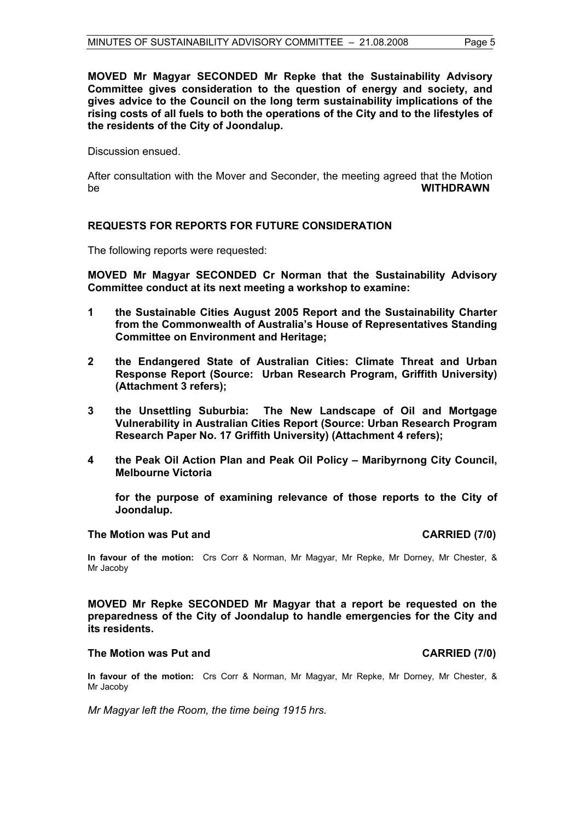**MOVED Mr Magyar SECONDED Mr Repke that the Sustainability Advisory Committee gives consideration to the question of energy and society, and gives advice to the Council on the long term sustainability implications of the rising costs of all fuels to both the operations of the City and to the lifestyles of the residents of the City of Joondalup.**

Discussion ensued.

After consultation with the Mover and Seconder, the meeting agreed that the Motion be **WITHDRAWN**

### **REQUESTS FOR REPORTS FOR FUTURE CONSIDERATION**

The following reports were requested:

**MOVED Mr Magyar SECONDED Cr Norman that the Sustainability Advisory Committee conduct at its next meeting a workshop to examine:** 

- **1 the Sustainable Cities August 2005 Report and the Sustainability Charter from the Commonwealth of Australia's House of Representatives Standing Committee on Environment and Heritage;**
- **2 the Endangered State of Australian Cities: Climate Threat and Urban Response Report (Source: Urban Research Program, Griffith University) (Attachment 3 refers);**
- **3 the Unsettling Suburbia: The New Landscape of Oil and Mortgage Vulnerability in Australian Cities Report (Source: Urban Research Program Research Paper No. 17 Griffith University) (Attachment 4 refers);**
- **4 the Peak Oil Action Plan and Peak Oil Policy Maribyrnong City Council, Melbourne Victoria**

**for the purpose of examining relevance of those reports to the City of Joondalup.** 

#### **The Motion was Put and CARRIED (7/0)**

#### **In favour of the motion:** Crs Corr & Norman, Mr Magyar, Mr Repke, Mr Dorney, Mr Chester, & Mr Jacoby

**MOVED Mr Repke SECONDED Mr Magyar that a report be requested on the preparedness of the City of Joondalup to handle emergencies for the City and its residents.** 

#### The Motion was Put and **CARRIED** (7/0)

**In favour of the motion:** Crs Corr & Norman, Mr Magyar, Mr Repke, Mr Dorney, Mr Chester, & Mr Jacoby

*Mr Magyar left the Room, the time being 1915 hrs.*